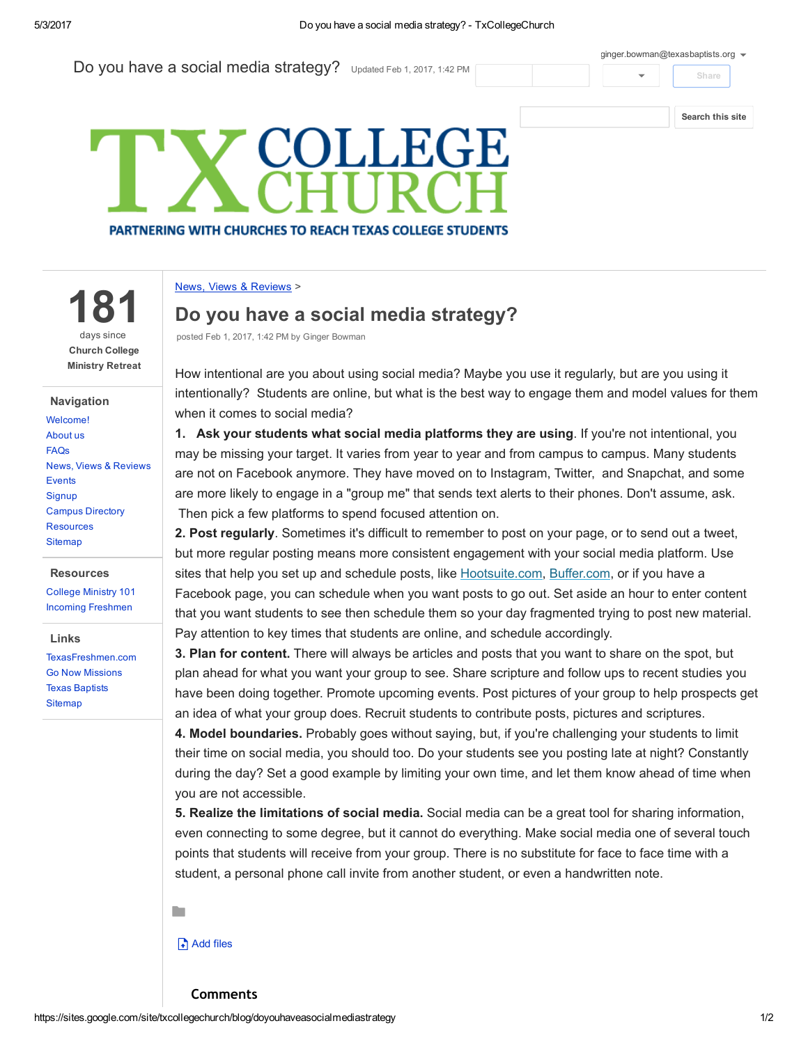181

days since Church College Ministry Retreat

News, Views & [Reviews](https://sites.google.com/site/txcollegechurch/blog)

Campus [Directory](https://sites.google.com/site/txcollegechurch/campus-directory) [Resources](https://sites.google.com/site/txcollegechurch/resources) **[Sitemap](https://sites.google.com/site/txcollegechurch/system/app/pages/sitemap/hierarchy)** 

**Resources** [College](https://sites.google.com/site/txcollegechurch/resources/college-ministry-essentials) Ministry 101 Incoming [Freshmen](https://sites.google.com/site/txcollegechurch/resources/incoming-freshmen)

[TexasFreshmen.com](http://texasfreshmen.com/) Go Now [Missions](http://www.gonowmissions.com/) Texas [Baptists](http://www.texasbaptists.org/) **[Sitemap](https://sites.google.com/site/txcollegechurch/system/app/pages/sitemap/hierarchy)** 

Links

Navigation [Welcome!](https://sites.google.com/site/txcollegechurch/home) [About](https://sites.google.com/site/txcollegechurch/about) us [FAQs](https://sites.google.com/site/txcollegechurch/faqs)

**[Events](https://sites.google.com/site/txcollegechurch/events) [Signup](https://sites.google.com/site/txcollegechurch/signup)** 

Do you have a social media strategy? Updated Feb 1, 2017, 1:42 PM

[ginger.bowman@texasbaptists.org](https://accounts.google.com/SignOutOptions?hl=en&continue=https://sites.google.com/site/txcollegechurch/blog/doyouhaveasocialmediastrategy&service=jotspot)  $\bullet$ 



Share

## **COLLEGE PARTNERING WITH CHURCHES TO REACH TEXAS COLLEGE STUDENTS**

## News, Views & [Reviews](https://sites.google.com/site/txcollegechurch/blog) >

## Do you have a social media strategy?

posted Feb 1, 2017, 1:42 PM by Ginger Bowman

How intentional are you about using social media? Maybe you use it regularly, but are you using it intentionally? Students are online, but what is the best way to engage them and model values for them when it comes to social media?

1. Ask your students what social media platforms they are using. If you're not intentional, you may be missing your target. It varies from year to year and from campus to campus. Many students are not on Facebook anymore. They have moved on to Instagram, Twitter, and Snapchat, and some are more likely to engage in a "group me" that sends text alerts to their phones. Don't assume, ask. Then pick a few platforms to spend focused attention on.

2. Post regularly. Sometimes it's difficult to remember to post on your page, or to send out a tweet, but more regular posting means more consistent engagement with your social media platform. Use sites that help you set up and schedule posts, like [Hootsuite.com](http://collegiatechurchlife.us1.list-manage2.com/track/click?u=05bce292c6d030cdf9b00c9a8&id=ee6365b76e&e=464e710706), [Buffer.com,](http://collegiatechurchlife.us1.list-manage.com/track/click?u=05bce292c6d030cdf9b00c9a8&id=c7574de21a&e=464e710706) or if you have a Facebook page, you can schedule when you want posts to go out. Set aside an hour to enter content that you want students to see then schedule them so your day fragmented trying to post new material. Pay attention to key times that students are online, and schedule accordingly.

3. Plan for content. There will always be articles and posts that you want to share on the spot, but plan ahead for what you want your group to see. Share scripture and follow ups to recent studies you have been doing together. Promote upcoming events. Post pictures of your group to help prospects get an idea of what your group does. Recruit students to contribute posts, pictures and scriptures.

4. Model boundaries. Probably goes without saying, but, if you're challenging your students to limit their time on social media, you should too. Do your students see you posting late at night? Constantly during the day? Set a good example by limiting your own time, and let them know ahead of time when you are not accessible.

5. Realize the limitations of social media. Social media can be a great tool for sharing information, even connecting to some degree, but it cannot do everything. Make social media one of several touch points that students will receive from your group. There is no substitute for face to face time with a student, a personal phone call invite from another student, or even a handwritten note.

## Add files

**De**